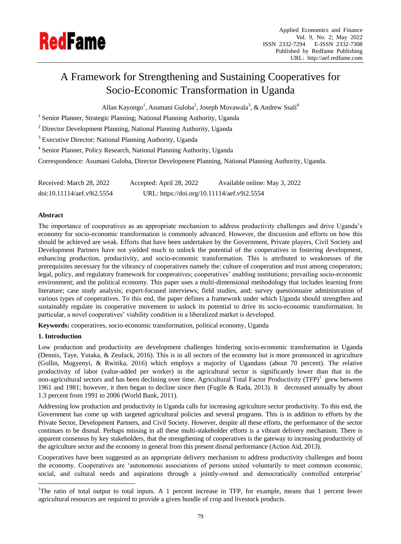

# A Framework for Strengthening and Sustaining Cooperatives for Socio-Economic Transformation in Uganda

Allan Kayongo<sup>1</sup>, Asumani Guloba<sup>2</sup>, Joseph Muvawala<sup>3</sup>, & Andrew Ssali<sup>4</sup>

<sup>1</sup> Senior Planner, Strategic Planning; National Planning Authority, Uganda

<sup>2</sup> Director Development Planning, National Planning Authority, Uganda

<sup>3</sup> Executive Director; National Planning Authority, Uganda

<sup>4</sup> Senior Planner, Policy Research, National Planning Authority, Uganda

Correspondence: Asumani Guloba, Director Development Planning, National Planning Authority, Uganda.

Received: March 28, 2022 Accepted: April 28, 2022 Available online: May 3, 2022 doi:10.11114/aef.v9i2.5554 URL: https://doi.org/10.11114/aef.v9i2.5554

## **Abstract**

The importance of cooperatives as an appropriate mechanism to address productivity challenges and drive Uganda"s economy for socio-economic transformation is commonly advanced. However, the discussion and efforts on how this should be achieved are weak. Efforts that have been undertaken by the Government, Private players, Civil Society and Development Partners have not yielded much to unlock the potential of the cooperatives in fostering development, enhancing production, productivity, and socio-economic transformation. This is attributed to weaknesses of the prerequisites necessary for the vibrancy of cooperatives namely the: culture of cooperation and trust among cooperators; legal, policy, and regulatory framework for cooperatives; cooperatives' enabling institutions; prevailing socio-economic environment; and the political economy. This paper uses a multi-dimensional methodology that includes learning from literature; case study analysis; expert-focused interviews; field studies, and; survey questionnaire administration of various types of cooperatives. To this end, the paper defines a framework under which Uganda should strengthen and sustainably regulate its cooperative movement to unlock its potential to drive its socio-economic transformation. In particular, a novel cooperatives" viability condition in a liberalized market is developed.

**Keywords:** cooperatives, socio-economic transformation, political economy, Uganda

## **1. Introduction**

 $\overline{a}$ 

Low production and productivity are development challenges hindering socio-economic transformation in Uganda (Dennis, Taye, Yutaka, & Zeufack, 2016). This is in all sectors of the economy but is more pronounced in agriculture (Gollin, Mugyenyi, & Rwitika, 2016) which employs a majority of Ugandans (about 70 percent). The relative productivity of labor (value-added per worker) in the agricultural sector is significantly lower than that in the non-agricultural sectors and has been declining over time. Agricultural Total Factor Productivity (TFP)<sup>1</sup> grew between 1961 and 1981; however, it then began to decline since then (Fugile & Rada, 2013). It decreased annually by about 1.3 percent from 1991 to 2006 (World Bank, 2011).

Addressing low production and productivity in Uganda calls for increasing agriculture sector productivity. To this end, the Government has come up with targeted agricultural policies and several programs. This is in addition to efforts by the Private Sector, Development Partners, and Civil Society. However, despite all these efforts, the performance of the sector continues to be dismal. Perhaps missing in all these multi-stakeholder efforts is a vibrant delivery mechanism. There is apparent consensus by key stakeholders, that the strengthening of cooperatives is the gateway to increasing productivity of the agriculture sector and the economy in general from this present dismal performance (Action Aid, 2013).

Cooperatives have been suggested as an appropriate delivery mechanism to address productivity challenges and boost the economy. Cooperatives are "autonomous associations of persons united voluntarily to meet common economic, social, and cultural needs and aspirations through a jointly-owned and democratically controlled enterprise'

<sup>&</sup>lt;sup>1</sup>The ratio of total output to total inputs. A 1 percent increase in TFP, for example, means that 1 percent fewer agricultural resources are required to provide a given bundle of crop and livestock products.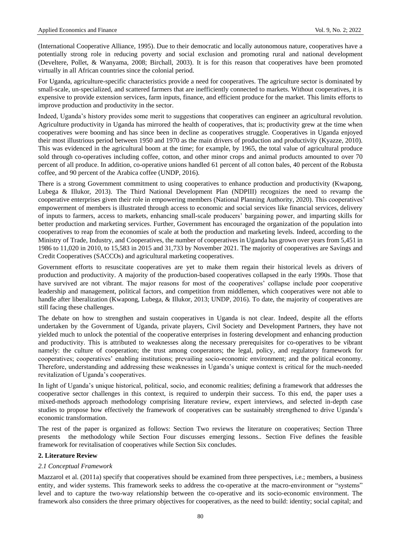(International Cooperative Alliance, 1995). Due to their democratic and locally autonomous nature, cooperatives have a potentially strong role in reducing poverty and social exclusion and promoting rural and national development (Develtere, Pollet, & Wanyama, 2008; Birchall, 2003). It is for this reason that cooperatives have been promoted virtually in all African countries since the colonial period.

For Uganda, agriculture-specific characteristics provide a need for cooperatives. The agriculture sector is dominated by small-scale, un-specialized, and scattered farmers that are inefficiently connected to markets. Without cooperatives, it is expensive to provide extension services, farm inputs, finance, and efficient produce for the market. This limits efforts to improve production and productivity in the sector.

Indeed, Uganda"s history provides some merit to suggestions that cooperatives can engineer an agricultural revolution. Agriculture productivity in Uganda has mirrored the health of cooperatives, that is; productivity grew at the time when cooperatives were booming and has since been in decline as cooperatives struggle. Cooperatives in Uganda enjoyed their most illustrious period between 1950 and 1970 as the main drivers of production and productivity (Kyazze, 2010). This was evidenced in the agricultural boom at the time; for example, by 1965, the total value of agricultural produce sold through co-operatives including coffee, cotton, and other minor crops and animal products amounted to over 70 percent of all produce. In addition, co-operative unions handled 61 percent of all cotton bales, 40 percent of the Robusta coffee, and 90 percent of the Arabica coffee (UNDP, 2016).

There is a strong Government commitment to using cooperatives to enhance production and productivity (Kwapong, Lubega & Illukor, 2013). The Third National Development Plan (NDPIII) recognizes the need to revamp the cooperative enterprises given their role in empowering members (National Planning Authority, 2020). This cooperatives" empowerment of members is illustrated through access to economic and social services like financial services, delivery of inputs to farmers, access to markets, enhancing small-scale producers" bargaining power, and imparting skills for better production and marketing services. Further, Government has encouraged the organization of the population into cooperatives to reap from the economies of scale at both the production and marketing levels. Indeed, according to the Ministry of Trade, Industry, and Cooperatives, the number of cooperatives in Uganda has grown over years from 5,451 in 1986 to 11,020 in 2010, to 15,583 in 2015 and 31,733 by November 2021. The majority of cooperatives are Savings and Credit Cooperatives (SACCOs) and agricultural marketing cooperatives.

Government efforts to resuscitate cooperatives are yet to make them regain their historical levels as drivers of production and productivity. A majority of the production-based cooperatives collapsed in the early 1990s. Those that have survived are not vibrant. The major reasons for most of the cooperatives' collapse include poor cooperative leadership and management, political factors, and competition from middlemen, which cooperatives were not able to handle after liberalization (Kwapong, Lubega, & Illukor, 2013; UNDP, 2016). To date, the majority of cooperatives are still facing these challenges.

The debate on how to strengthen and sustain cooperatives in Uganda is not clear. Indeed, despite all the efforts undertaken by the Government of Uganda, private players, Civil Society and Development Partners, they have not yielded much to unlock the potential of the cooperative enterprises in fostering development and enhancing production and productivity. This is attributed to weaknesses along the necessary prerequisites for co-operatives to be vibrant namely: the culture of cooperation; the trust among cooperators; the legal, policy, and regulatory framework for cooperatives; cooperatives" enabling institutions; prevailing socio-economic environment; and the political economy. Therefore, understanding and addressing these weaknesses in Uganda"s unique context is critical for the much-needed revitalization of Uganda"s cooperatives.

In light of Uganda"s unique historical, political, socio, and economic realities; defining a framework that addresses the cooperative sector challenges in this context, is required to underpin their success. To this end, the paper uses a mixed-methods approach methodology comprising literature review, expert interviews, and selected in-depth case studies to propose how effectively the framework of cooperatives can be sustainably strengthened to drive Uganda"s economic transformation.

The rest of the paper is organized as follows: Section Two reviews the literature on cooperatives; Section Three presents the methodology while Section Four discusses emerging lessons.. Section Five defines the feasible framework for revitalisation of cooperatives while Section Six concludes.

## **2. Literature Review**

### *2.1 Conceptual Framework*

Mazzarol et al. (2011a) specify that cooperatives should be examined from three perspectives, i.e.; members, a business entity, and wider systems. This framework seeks to address the co-operative at the macro-environment or "systems" level and to capture the two-way relationship between the co-operative and its socio-economic environment. The framework also considers the three primary objectives for cooperatives, as the need to build: identity; social capital; and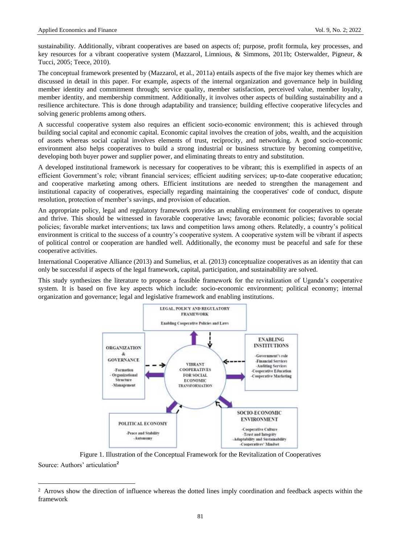$\overline{a}$ 

sustainability. Additionally, vibrant cooperatives are based on aspects of; purpose, profit formula, key processes, and key resources for a vibrant cooperative system (Mazzarol, Limnious, & Simmons, 2011b; Osterwalder, Pigneur, & Tucci, 2005; Teece, 2010).

The conceptual framework presented by (Mazzarol, et al., 2011a) entails aspects of the five major key themes which are discussed in detail in this paper. For example, aspects of the internal organization and governance help in building member identity and commitment through; service quality, member satisfaction, perceived value, member loyalty, member identity, and membership commitment. Additionally, it involves other aspects of building sustainability and a resilience architecture. This is done through adaptability and transience; building effective cooperative lifecycles and solving generic problems among others.

A successful cooperative system also requires an efficient socio-economic environment; this is achieved through building social capital and economic capital. Economic capital involves the creation of jobs, wealth, and the acquisition of assets whereas social capital involves elements of trust, reciprocity, and networking. A good socio-economic environment also helps cooperatives to build a strong industrial or business structure by becoming competitive, developing both buyer power and supplier power, and eliminating threats to entry and substitution.

A developed institutional framework is necessary for cooperatives to be vibrant; this is exemplified in aspects of an efficient Government"s role; vibrant financial services; efficient auditing services; up-to-date cooperative education; and cooperative marketing among others. Efficient institutions are needed to strengthen the management and institutional capacity of cooperatives, especially regarding maintaining the cooperatives' code of conduct, dispute resolution, protection of member's savings, and provision of education.

An appropriate policy, legal and regulatory framework provides an enabling environment for cooperatives to operate and thrive. This should be witnessed in favorable cooperative laws; favorable economic policies; favorable social policies; favorable market interventions; tax laws and competition laws among others. Relatedly, a country"s political environment is critical to the success of a country"s cooperative system. A cooperative system will be vibrant if aspects of political control or cooperation are handled well. Additionally, the economy must be peaceful and safe for these cooperative activities.

International Cooperative Alliance (2013) and Sumelius, et al. (2013) conceptualize cooperatives as an identity that can only be successful if aspects of the legal framework, capital, participation, and sustainability are solved.

This study synthesizes the literature to propose a feasible framework for the revitalization of Uganda"s cooperative system. It is based on five key aspects which include: socio-economic environment; political economy; internal organization and governance; legal and legislative framework and enabling institutions.



Figure 1. Illustration of the Conceptual Framework for the Revitalization of Cooperatives Source: Authors' articulation<sup>2</sup>

<sup>&</sup>lt;sup>2</sup> Arrows show the direction of influence whereas the dotted lines imply coordination and feedback aspects within the framework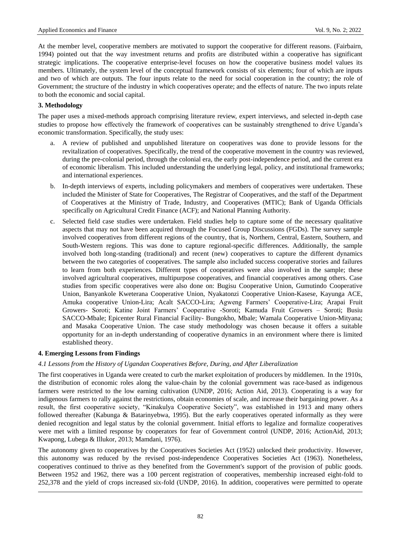At the member level, cooperative members are motivated to support the cooperative for different reasons. (Fairbairn, 1994) pointed out that the way investment returns and profits are distributed within a cooperative has significant strategic implications. The cooperative enterprise-level focuses on how the cooperative business model values its members. Ultimately, the system level of the conceptual framework consists of six elements; four of which are inputs and two of which are outputs. The four inputs relate to the need for social cooperation in the country; the role of Government; the structure of the industry in which cooperatives operate; and the effects of nature. The two inputs relate to both the economic and social capital.

# **3. Methodology**

The paper uses a mixed-methods approach comprising literature review, expert interviews, and selected in-depth case studies to propose how effectively the framework of cooperatives can be sustainably strengthened to drive Uganda"s economic transformation. Specifically, the study uses:

- a. A review of published and unpublished literature on cooperatives was done to provide lessons for the revitalization of cooperatives. Specifically, the trend of the cooperative movement in the country was reviewed, during the pre-colonial period, through the colonial era, the early post-independence period, and the current era of economic liberalism. This included understanding the underlying legal, policy, and institutional frameworks; and international experiences.
- b. In-depth interviews of experts, including policymakers and members of cooperatives were undertaken. These included the Minister of State for Cooperatives, The Registrar of Cooperatives, and the staff of the Department of Cooperatives at the Ministry of Trade, Industry, and Cooperatives (MTIC); Bank of Uganda Officials specifically on Agricultural Credit Finance (ACF); and National Planning Authority.
- c. Selected field case studies were undertaken. Field studies help to capture some of the necessary qualitative aspects that may not have been acquired through the Focused Group Discussions (FGDs). The survey sample involved cooperatives from different regions of the country, that is, Northern, Central, Eastern, Southern, and South-Western regions. This was done to capture regional-specific differences. Additionally, the sample involved both long-standing (traditional) and recent (new) cooperatives to capture the different dynamics between the two categories of cooperatives. The sample also included success cooperative stories and failures to learn from both experiences. Different types of cooperatives were also involved in the sample; these involved agricultural cooperatives, multipurpose cooperatives, and financial cooperatives among others. Case studies from specific cooperatives were also done on: Bugisu Cooperative Union, Gumutindo Cooperative Union, Banyankole Kweterana Cooperative Union, Nyakatonzi Cooperative Union-Kasese, Kayunga ACE, Amuka cooperative Union-Lira; Acalt SACCO-Lira; Agweng Farmers" Cooperative-Lira; Arapai Fruit Growers- Soroti; Katine Joint Farmers" Cooperative -Soroti; Kamuda Fruit Growers – Soroti; Busiu SACCO-Mbale; Epicenter Rural Financial Facility- Bungokho, Mbale; Wamala Cooperative Union-Mityana; and Masaka Cooperative Union. The case study methodology was chosen because it offers a suitable opportunity for an in-depth understanding of cooperative dynamics in an environment where there is limited established theory.

# **4. Emerging Lessons from Findings**

 $\overline{a}$ 

# *4.1 Lessons from the History of Ugandan Cooperatives Before, During, and After Liberalization*

The first cooperatives in Uganda were created to curb the market exploitation of producers by middlemen. In the 1910s, the distribution of economic roles along the value-chain by the colonial government was race-based as indigenous farmers were restricted to the low earning cultivation (UNDP, 2016; Action Aid, 2013). Cooperating is a way for indigenous farmers to rally against the restrictions, obtain economies of scale, and increase their bargaining power. As a result, the first cooperative society, "Kinakulya Cooperative Society", was established in 1913 and many others followed thereafter (Kabunga & Batarinyebwa, 1995). But the early cooperatives operated informally as they were denied recognition and legal status by the colonial government. Initial efforts to legalize and formalize cooperatives were met with a limited response by cooperators for fear of Government control (UNDP, 2016; ActionAid, 2013; Kwapong, Lubega & Illukor, 2013; Mamdani, 1976).

The autonomy given to cooperatives by the Cooperatives Societies Act (1952) unlocked their productivity. However, this autonomy was reduced by the revised post-independence Cooperatives Societies Act (1963). Nonetheless, cooperatives continued to thrive as they benefited from the Government's support of the provision of public goods. Between 1952 and 1962, there was a 100 percent registration of cooperatives, membership increased eight-fold to 252,378 and the yield of crops increased six-fold (UNDP, 2016). In addition, cooperatives were permitted to operate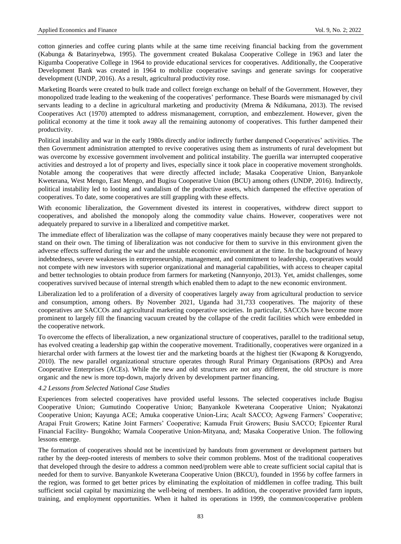cotton ginneries and coffee curing plants while at the same time receiving financial backing from the government (Kabunga & Batarinyebwa, 1995). The government created Bukalasa Cooperative College in 1963 and later the Kigumba Cooperative College in 1964 to provide educational services for cooperatives. Additionally, the Cooperative Development Bank was created in 1964 to mobilize cooperative savings and generate savings for cooperative development (UNDP, 2016). As a result, agricultural productivity rose.

Marketing Boards were created to bulk trade and collect foreign exchange on behalf of the Government. However, they monopolized trade leading to the weakening of the cooperatives" performance. These Boards were mismanaged by civil servants leading to a decline in agricultural marketing and productivity (Mrema & Ndikumana, 2013). The revised Cooperatives Act (1970) attempted to address mismanagement, corruption, and embezzlement. However, given the political economy at the time it took away all the remaining autonomy of cooperatives. This further dampened their productivity.

Political instability and war in the early 1980s directly and/or indirectly further dampened Cooperatives" activities. The then Government administration attempted to revive cooperatives using them as instruments of rural development but was overcome by excessive government involvement and political instability. The guerilla war interrupted cooperative activities and destroyed a lot of property and lives, especially since it took place in cooperative movement strongholds. Notable among the cooperatives that were directly affected include; Masaka Cooperative Union, Banyankole Kweterana, West Mengo, East Mengo, and Bugisu Cooperative Union (BCU) among others (UNDP, 2016). Indirectly, political instability led to looting and vandalism of the productive assets, which dampened the effective operation of cooperatives. To date, some cooperatives are still grappling with these effects.

With economic liberalization, the Government divested its interest in cooperatives, withdrew direct support to cooperatives, and abolished the monopoly along the commodity value chains. However, cooperatives were not adequately prepared to survive in a liberalized and competitive market.

The immediate effect of liberalization was the collapse of many cooperatives mainly because they were not prepared to stand on their own. The timing of liberalization was not conducive for them to survive in this environment given the adverse effects suffered during the war and the unstable economic environment at the time. In the background of heavy indebtedness, severe weaknesses in entrepreneurship, management, and commitment to leadership, cooperatives would not compete with new investors with superior organizational and managerial capabilities, with access to cheaper capital and better technologies to obtain produce from farmers for marketing (Nannyonjo, 2013). Yet, amidst challenges, some cooperatives survived because of internal strength which enabled them to adapt to the new economic environment.

Liberalization led to a proliferation of a diversity of cooperatives largely away from agricultural production to service and consumption, among others. By November 2021, Uganda had 31,733 cooperatives. The majority of these cooperatives are SACCOs and agricultural marketing cooperative societies. In particular, SACCOs have become more prominent to largely fill the financing vacuum created by the collapse of the credit facilities which were embedded in the cooperative network.

To overcome the effects of liberalization, a new organizational structure of cooperatives, parallel to the traditional setup, has evolved creating a leadership gap within the cooperative movement. Traditionally, cooperatives were organized in a hierarchal order with farmers at the lowest tier and the marketing boards at the highest tier (Kwapong & Korugyendo, 2010). The new parallel organizational structure operates through Rural Primary Organisations (RPOs) and Area Cooperative Enterprises (ACEs). While the new and old structures are not any different, the old structure is more organic and the new is more top-down, majorly driven by development partner financing.

## *4.2 Lessons from Selected National Case Studies*

Experiences from selected cooperatives have provided useful lessons. The selected cooperatives include Bugisu Cooperative Union; Gumutindo Cooperative Union; Banyankole Kweterana Cooperative Union; Nyakatonzi Cooperative Union; Kayunga ACE; Amuka cooperative Union-Lira; Acalt SACCO; Agweng Farmers" Cooperative; Arapai Fruit Growers; Katine Joint Farmers" Cooperative; Kamuda Fruit Growers; Busiu SACCO; Epicenter Rural Financial Facility- Bungokho; Wamala Cooperative Union-Mityana, and; Masaka Cooperative Union. The following lessons emerge.

The formation of cooperatives should not be incentivized by handouts from government or development partners but rather by the deep-rooted interests of members to solve their common problems. Most of the traditional cooperatives that developed through the desire to address a common need/problem were able to create sufficient social capital that is needed for them to survive. Banyankole Kweterana Cooperative Union (BKCU), founded in 1956 by coffee farmers in the region, was formed to get better prices by eliminating the exploitation of middlemen in coffee trading. This built sufficient social capital by maximizing the well-being of members. In addition, the cooperative provided farm inputs, training, and employment opportunities. When it halted its operations in 1999, the common/cooperative problem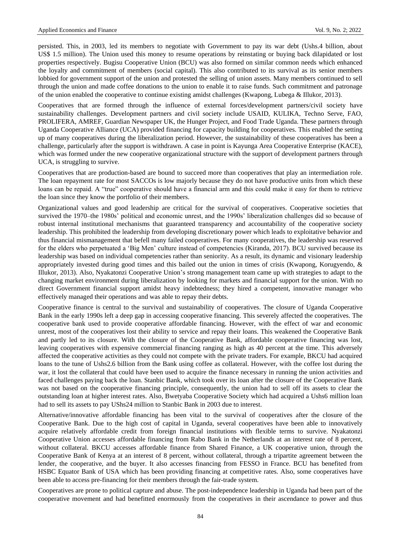persisted. This, in 2003, led its members to negotiate with Government to pay its war debt (Ushs.4 billion, about US\$ 1.5 million). The Union used this money to resume operations by reinstating or buying back dilapidated or lost properties respectively. Bugisu Cooperative Union (BCU) was also formed on similar common needs which enhanced the loyalty and commitment of members (social capital). This also contributed to its survival as its senior members lobbied for government support of the union and protested the selling of union assets. Many members continued to sell through the union and made coffee donations to the union to enable it to raise funds. Such commitment and patronage of the union enabled the cooperative to continue existing amidst challenges (Kwapong, Lubega & Illukor, 2013).

Cooperatives that are formed through the influence of external forces/development partners/civil society have sustainability challenges. Development partners and civil society include USAID, KULIKA, Techno Serve, FAO, PROLIFERA, AMREF, Guardian Newspaper UK, the Hunger Project, and Food Trade Uganda. These partners through Uganda Cooperative Alliance (UCA) provided financing for capacity building for cooperatives. This enabled the setting up of many cooperatives during the liberalization period. However, the sustainability of these cooperatives has been a challenge, particularly after the support is withdrawn. A case in point is Kayunga Area Cooperative Enterprise (KACE), which was formed under the new cooperative organizational structure with the support of development partners through UCA, is struggling to survive.

Cooperatives that are production-based are bound to succeed more than cooperatives that play an intermediation role. The loan repayment rate for most SACCOs is low majorly because they do not have productive units from which these loans can be repaid. A "true" cooperative should have a financial arm and this could make it easy for them to retrieve the loan since they know the portfolio of their members.

Organizational values and good leadership are critical for the survival of cooperatives. Cooperative societies that survived the 1970–the 1980s" political and economic unrest, and the 1990s" liberalization challenges did so because of robust internal institutional mechanisms that guaranteed transparency and accountability of the cooperative society leadership. This prohibited the leadership from developing discretionary power which leads to exploitative behavior and thus financial mismanagement that befell many failed cooperatives. For many cooperatives, the leadership was reserved for the elders who perpetuated a "Big Men" culture instead of competencies (Kiranda, 2017). BCU survived because its leadership was based on individual competencies rather than seniority. As a result, its dynamic and visionary leadership appropriately invested during good times and this bailed out the union in times of crisis (Kwapong, Korugyendo, & Illukor, 2013). Also, Nyakatonzi Cooperative Union"s strong management team came up with strategies to adapt to the changing market environment during liberalization by looking for markets and financial support for the union. With no direct Government financial support amidst heavy indebtedness; they hired a competent, innovative manager who effectively managed their operations and was able to repay their debts.

Cooperative finance is central to the survival and sustainability of cooperatives. The closure of Uganda Cooperative Bank in the early 1990s left a deep gap in accessing cooperative financing. This severely affected the cooperatives. The cooperative bank used to provide cooperative affordable financing. However, with the effect of war and economic unrest, most of the cooperatives lost their ability to service and repay their loans. This weakened the Cooperative Bank and partly led to its closure. With the closure of the Cooperative Bank, affordable cooperative financing was lost, leaving cooperatives with expensive commercial financing ranging as high as 40 percent at the time. This adversely affected the cooperative activities as they could not compete with the private traders. For example, BKCU had acquired loans to the tune of Ushs2.6 billion from the Bank using coffee as collateral. However, with the coffee lost during the war, it lost the collateral that could have been used to acquire the finance necessary in running the union activities and faced challenges paying back the loan. Stanbic Bank, which took over its loan after the closure of the Cooperative Bank was not based on the cooperative financing principle, consequently, the union had to sell off its assets to clear the outstanding loan at higher interest rates. Also, Bwetyaba Cooperative Society which had acquired a Ushs6 million loan had to sell its assets to pay UShs24 million to Stanbic Bank in 2003 due to interest.

Alternative/innovative affordable financing has been vital to the survival of cooperatives after the closure of the Cooperative Bank. Due to the high cost of capital in Uganda, several cooperatives have been able to innovatively acquire relatively affordable credit from foreign financial institutions with flexible terms to survive. Nyakatonzi Cooperative Union accesses affordable financing from Rabo Bank in the Netherlands at an interest rate of 8 percent, without collateral. BKCU accesses affordable finance from Shared Finance, a UK cooperative union, through the Cooperative Bank of Kenya at an interest of 8 percent, without collateral, through a tripartite agreement between the lender, the cooperative, and the buyer. It also accesses financing from FESSO in France. BCU has benefited from HSBC Equator Bank of USA which has been providing financing at competitive rates. Also, some cooperatives have been able to access pre-financing for their members through the fair-trade system.

Cooperatives are prone to political capture and abuse. The post-independence leadership in Uganda had been part of the cooperative movement and had benefitted enormously from the cooperatives in their ascendance to power and thus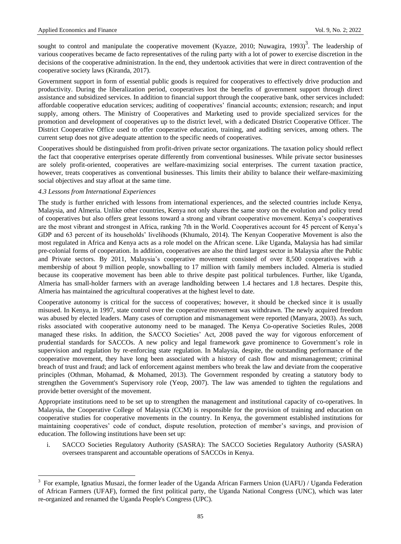sought to control and manipulate the cooperative movement (Kyazze, 2010; Nuwagira, 1993)<sup>3</sup>. The leadership of various cooperatives became de facto representatives of the ruling party with a lot of power to exercise discretion in the decisions of the cooperative administration. In the end, they undertook activities that were in direct contravention of the cooperative society laws (Kiranda, 2017).

Government support in form of essential public goods is required for cooperatives to effectively drive production and productivity. During the liberalization period, cooperatives lost the benefits of government support through direct assistance and subsidized services. In addition to financial support through the cooperative bank, other services included: affordable cooperative education services; auditing of cooperatives" financial accounts; extension; research; and input supply, among others. The Ministry of Cooperatives and Marketing used to provide specialized services for the promotion and development of cooperatives up to the district level, with a dedicated District Cooperative Officer. The District Cooperative Office used to offer cooperative education, training, and auditing services, among others. The current setup does not give adequate attention to the specific needs of cooperatives.

Cooperatives should be distinguished from profit-driven private sector organizations. The taxation policy should reflect the fact that cooperative enterprises operate differently from conventional businesses. While private sector businesses are solely profit-oriented, cooperatives are welfare-maximizing social enterprises. The current taxation practice, however, treats cooperatives as conventional businesses. This limits their ability to balance their welfare-maximizing social objectives and stay afloat at the same time.

## *4.3 Lessons from International Experiences*

 $\overline{a}$ 

The study is further enriched with lessons from international experiences, and the selected countries include Kenya, Malaysia, and Almeria. Unlike other countries, Kenya not only shares the same story on the evolution and policy trend of cooperatives but also offers great lessons toward a strong and vibrant cooperative movement. Kenya"s cooperatives are the most vibrant and strongest in Africa, ranking 7th in the World. Cooperatives account for 45 percent of Kenya"s GDP and 63 percent of its households' livelihoods (Khumalo, 2014). The Kenyan Cooperative Movement is also the most regulated in Africa and Kenya acts as a role model on the African scene. Like Uganda, Malaysia has had similar pre-colonial forms of cooperation. In addition, cooperatives are also the third largest sector in Malaysia after the Public and Private sectors. By 2011, Malaysia"s cooperative movement consisted of over 8,500 cooperatives with a membership of about 9 million people, snowballing to 17 million with family members included. Almeria is studied because its cooperative movement has been able to thrive despite past political turbulences. Further, like Uganda, Almeria has small-holder farmers with an average landholding between 1.4 hectares and 1.8 hectares. Despite this, Almeria has maintained the agricultural cooperatives at the highest level to date.

Cooperative autonomy is critical for the success of cooperatives; however, it should be checked since it is usually misused. In Kenya, in 1997, state control over the cooperative movement was withdrawn. The newly acquired freedom was abused by elected leaders. Many cases of corruption and mismanagement were reported (Manyara, 2003). As such, risks associated with cooperative autonomy need to be managed. The Kenya Co-operative Societies Rules, 2008 managed these risks. In addition, the SACCO Societies" Act, 2008 paved the way for vigorous enforcement of prudential standards for SACCOs. A new policy and legal framework gave prominence to Government"s role in supervision and regulation by re-enforcing state regulation. In Malaysia, despite, the outstanding performance of the cooperative movement, they have long been associated with a history of cash flow and mismanagement; criminal breach of trust and fraud; and lack of enforcement against members who break the law and deviate from the cooperative principles (Othman, Mohamad, & Mohamed, 2013). The Government responded by creating a statutory body to strengthen the Government's Supervisory role (Yeop, 2007). The law was amended to tighten the regulations and provide better oversight of the movement.

Appropriate institutions need to be set up to strengthen the management and institutional capacity of co-operatives. In Malaysia, the Cooperative College of Malaysia (CCM) is responsible for the provision of training and education on cooperative studies for cooperative movements in the country. In Kenya, the government established institutions for maintaining cooperatives" code of conduct, dispute resolution, protection of member"s savings, and provision of education. The following institutions have been set up:

i. SACCO Societies Regulatory Authority (SASRA): The SACCO Societies Regulatory Authority (SASRA) oversees transparent and accountable operations of SACCOs in Kenya.

<sup>3</sup> For example, Ignatius Musazi, the former leader of the Uganda African Farmers Union (UAFU) / Uganda Federation of African Farmers (UFAF), formed the first political party, the Uganda National Congress (UNC), which was later re-organized and renamed the Uganda People's Congress (UPC).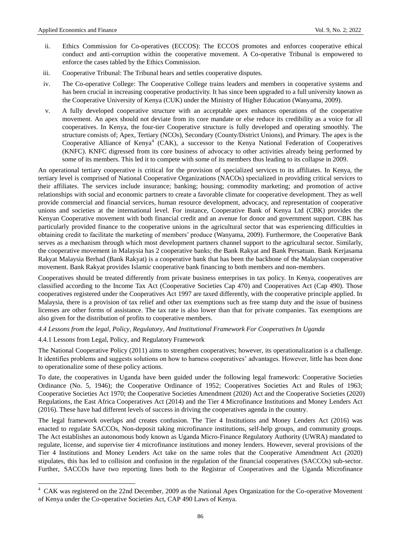- ii. Ethics Commission for Co-operatives (ECCOS): The ECCOS promotes and enforces cooperative ethical conduct and anti-corruption within the cooperative movement. A Co-operative Tribunal is empowered to enforce the cases tabled by the Ethics Commission.
- iii. Cooperative Tribunal: The Tribunal hears and settles cooperative disputes.
- iv. The Co-operative College: The Cooperative College trains leaders and members in cooperative systems and has been crucial in increasing cooperative productivity. It has since been upgraded to a full university known as the Cooperative University of Kenya (CUK) under the Ministry of Higher Education (Wanyama, 2009).
- v. A fully developed cooperative structure with an acceptable apex enhances operations of the cooperative movement. An apex should not deviate from its core mandate or else reduce its credibility as a voice for all cooperatives. In Kenya, the four-tier Cooperative structure is fully developed and operating smoothly. The structure consists of; Apex, Tertiary (NCOs), Secondary (County/District Unions), and Primary. The apex is the Cooperative Alliance of Kenya<sup>4</sup> (CAK), a successor to the Kenya National Federation of Cooperatives (KNFC). KNFC digressed from its core business of advocacy to other activities already being performed by some of its members. This led it to compete with some of its members thus leading to its collapse in 2009.

An operational tertiary cooperative is critical for the provision of specialized services to its affiliates. In Kenya, the tertiary level is comprised of National Cooperative Organizations (NACOs) specialized in providing critical services to their affiliates. The services include insurance; banking; housing; commodity marketing; and promotion of active relationships with social and economic partners to create a favorable climate for cooperative development. They as well provide commercial and financial services, human resource development, advocacy, and representation of cooperative unions and societies at the international level. For instance, Cooperative Bank of Kenya Ltd (CBK) provides the Kenyan Cooperative movement with both financial credit and an avenue for donor and government support. CBK has particularly provided finance to the cooperative unions in the agricultural sector that was experiencing difficulties in obtaining credit to facilitate the marketing of members" produce (Wanyama, 2009). Furthermore, the Cooperative Bank serves as a mechanism through which most development partners channel support to the agricultural sector. Similarly, the cooperative movement in Malaysia has 2 cooperative banks; the Bank Rakyat and Bank Persatuan. Bank Kerjasama Rakyat Malaysia Berhad (Bank Rakyat) is a cooperative bank that has been the backbone of the Malaysian cooperative movement. Bank Rakyat provides Islamic cooperative bank financing to both members and non-members.

Cooperatives should be treated differently from private business enterprises in tax policy. In Kenya, cooperatives are classified according to the Income Tax Act (Cooperative Societies Cap 470) and Cooperatives Act (Cap 490). Those cooperatives registered under the Cooperatives Act 1997 are taxed differently, with the cooperative principle applied. In Malaysia, there is a provision of tax relief and other tax exemptions such as free stamp duty and the issue of business licenses are other forms of assistance. The tax rate is also lower than that for private companies. Tax exemptions are also given for the distribution of profits to cooperative members.

## *4.4 Lessons from the legal, Policy, Regulatory, And Institutional Framework For Cooperatives In Uganda*

## 4.4.1 Lessons from Legal, Policy, and Regulatory Framework

 $\overline{a}$ 

The National Cooperative Policy (2011) aims to strengthen cooperatives; however, its operationalization is a challenge. It identifies problems and suggests solutions on how to harness cooperatives" advantages. However, little has been done to operationalize some of these policy actions.

To date, the cooperatives in Uganda have been guided under the following legal framework: Cooperative Societies Ordinance (No. 5, 1946); the Cooperative Ordinance of 1952; Cooperatives Societies Act and Rules of 1963; Cooperative Societies Act 1970; the Cooperative Societies Amendment (2020) Act and the Cooperative Societies (2020) Regulations, the East Africa Cooperatives Act (2014) and the Tier 4 Microfinance Institutions and Money Lenders Act (2016). These have had different levels of success in driving the cooperatives agenda in the country.

The legal framework overlaps and creates confusion. The Tier 4 Institutions and Money Lenders Act (2016) was enacted to regulate SACCOs, Non-deposit taking microfinance institutions, self-help groups, and community groups. The Act establishes an autonomous body known as Uganda Micro-Finance Regulatory Authority (UWRA) mandated to regulate, license, and supervise tier 4 microfinance institutions and money lenders. However, several provisions of the Tier 4 Institutions and Money Lenders Act take on the same roles that the Cooperative Amendment Act (2020) stipulates, this has led to collision and confusion in the regulation of the financial cooperatives (SACCOs) sub-sector. Further, SACCOs have two reporting lines both to the Registrar of Cooperatives and the Uganda Microfinance

<sup>4</sup> CAK was registered on the 22nd December, 2009 as the National Apex Organization for the Co-operative Movement of Kenya under the Co-operative Societies Act, CAP 490 Laws of Kenya.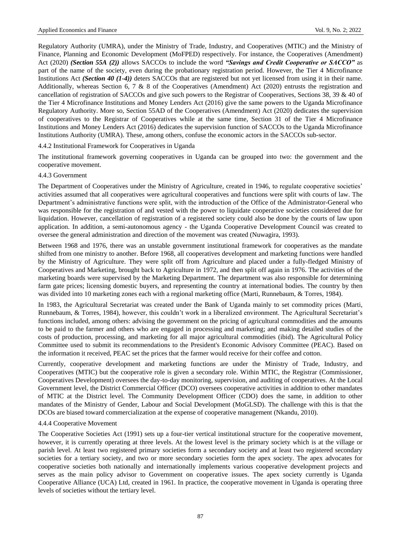Regulatory Authority (UMRA), under the Ministry of Trade, Industry, and Cooperatives (MTIC) and the Ministry of Finance, Planning and Economic Development (MoFPED) respectively. For instance, the Cooperatives (Amendment) Act (2020) *(Section 55A (2))* allows SACCOs to include the word *"Savings and Credit Cooperative or SACCO"* as part of the name of the society, even during the probationary registration period. However, the Tier 4 Microfinance Institutions Act *(Section 40 (1-4))* deters SACCOs that are registered but not yet licensed from using it in their name. Additionally, whereas Section 6, 7 & 8 of the Cooperatives (Amendment) Act (2020) entrusts the registration and cancellation of registration of SACCOs and give such powers to the Registrar of Cooperatives, Sections 38, 39 & 40 of the Tier 4 Microfinance Institutions and Money Lenders Act (2016) give the same powers to the Uganda Microfinance Regulatory Authority. More so, Section 55AD of the Cooperatives (Amendment) Act (2020) dedicates the supervision of cooperatives to the Registrar of Cooperatives while at the same time, Section 31 of the Tier 4 Microfinance Institutions and Money Lenders Act (2016) dedicates the supervision function of SACCOs to the Uganda Microfinance Institutions Authority (UMRA). These, among others, confuse the economic actors in the SACCOs sub-sector.

4.4.2 Institutional Framework for Cooperatives in Uganda

The institutional framework governing cooperatives in Uganda can be grouped into two: the government and the cooperative movement.

## 4.4.3 Government

The Department of Cooperatives under the Ministry of Agriculture, created in 1946, to regulate cooperative societies' activities assumed that all cooperatives were agricultural cooperatives and functions were split with courts of law. The Department"s administrative functions were split, with the introduction of the Office of the Administrator-General who was responsible for the registration of and vested with the power to liquidate cooperative societies considered due for liquidation. However, cancellation of registration of a registered society could also be done by the courts of law upon application. In addition, a semi-autonomous agency - the Uganda Cooperative Development Council was created to oversee the general administration and direction of the movement was created (Nuwagira, 1993).

Between 1968 and 1976, there was an unstable government institutional framework for cooperatives as the mandate shifted from one ministry to another. Before 1968, all cooperatives development and marketing functions were handled by the Ministry of Agriculture. They were split off from Agriculture and placed under a fully-fledged Ministry of Cooperatives and Marketing, brought back to Agriculture in 1972, and then split off again in 1976. The activities of the marketing boards were supervised by the Marketing Department. The department was also responsible for determining farm gate prices; licensing domestic buyers, and representing the country at international bodies. The country by then was divided into 10 marketing zones each with a regional marketing office (Marti, Runnebaum, & Torres, 1984).

In 1983, the Agricultural Secretariat was created under the Bank of Uganda mainly to set commodity prices (Marti, Runnebaum, & Torres, 1984), however, this couldn't work in a liberalized environment. The Agricultural Secretariat's functions included, among others: advising the government on the pricing of agricultural commodities and the amounts to be paid to the farmer and others who are engaged in processing and marketing; and making detailed studies of the costs of production, processing, and marketing for all major agricultural commodities (ibid). The Agricultural Policy Committee used to submit its recommendations to the President's Economic Advisory Committee (PEAC). Based on the information it received, PEAC set the prices that the farmer would receive for their coffee and cotton.

Currently, cooperative development and marketing functions are under the Ministry of Trade, Industry, and Cooperatives (MTIC) but the cooperative role is given a secondary role. Within MTIC, the Registrar (Commissioner, Cooperatives Development) oversees the day-to-day monitoring, supervision, and auditing of cooperatives. At the Local Government level, the District Commercial Officer (DCO) oversees cooperative activities in addition to other mandates of MTIC at the District level. The Community Development Officer (CDO) does the same, in addition to other mandates of the Ministry of Gender, Labour and Social Development (MoGLSD). The challenge with this is that the DCOs are biased toward commercialization at the expense of cooperative management (Nkandu, 2010).

## 4.4.4 Cooperative Movement

The Cooperative Societies Act (1991) sets up a four-tier vertical institutional structure for the cooperative movement, however, it is currently operating at three levels. At the lowest level is the primary society which is at the village or parish level. At least two registered primary societies form a secondary society and at least two registered secondary societies for a tertiary society, and two or more secondary societies form the apex society. The apex advocates for cooperative societies both nationally and internationally implements various cooperative development projects and serves as the main policy advisor to Government on cooperative issues. The apex society currently is Uganda Cooperative Alliance (UCA) Ltd, created in 1961. In practice, the cooperative movement in Uganda is operating three levels of societies without the tertiary level.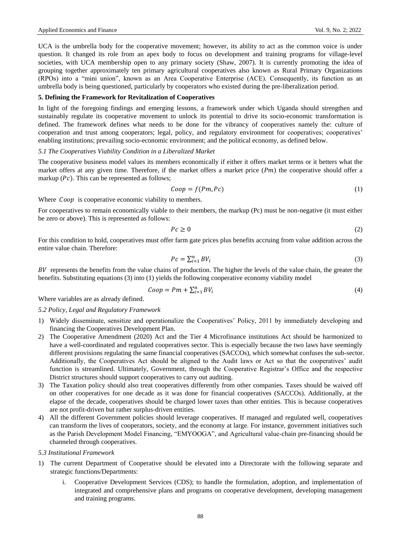UCA is the umbrella body for the cooperative movement; however, its ability to act as the common voice is under question. It changed its role from an apex body to focus on development and training programs for village-level societies, with UCA membership open to any primary society (Shaw, 2007). It is currently promoting the idea of grouping together approximately ten primary agricultural cooperatives also known as Rural Primary Organizations (RPOs) into a "mini union", known as an Area Cooperative Enterprise (ACE). Consequently, its function as an umbrella body is being questioned, particularly by cooperators who existed during the pre-liberalization period.

## **5. Defining the Framework for Revitalization of Cooperatives**

In light of the foregoing findings and emerging lessons, a framework under which Uganda should strengthen and sustainably regulate its cooperative movement to unlock its potential to drive its socio-economic transformation is defined. The framework defines what needs to be done for the vibrancy of cooperatives namely the: culture of cooperation and trust among cooperators; legal, policy, and regulatory environment for cooperatives; cooperatives' enabling institutions; prevailing socio-economic environment; and the political economy, as defined below.

## *5.1 The Cooperatives Viability Condition in a Liberalized Market*

The cooperative business model values its members economically if either it offers market terms or it betters what the market offers at any given time. Therefore, if the market offers a market price  $(Pm)$  the cooperative should offer a markup  $(Pc)$ . This can be represented as follows;

$$
Coop = f(Pm, Pc)
$$
 (1)

Where *Coop* is cooperative economic viability to members.

For cooperatives to remain economically viable to their members, the markup (Pc) must be non-negative (it must either be zero or above). This is represented as follows:

$$
Pc \ge 0\tag{2}
$$

For this condition to hold, cooperatives must offer farm gate prices plus benefits accruing from value addition across the entire value chain. Therefore:

$$
Pc = \sum_{i=1}^{n} BV_i
$$
 (3)

 $BV$  represents the benefits from the value chains of production. The higher the levels of the value chain, the greater the benefits. Substituting equations (3) into (1) yields the following cooperative economy viability model

$$
Coop = Pm + \sum_{i=1}^{n} BV_i
$$
\n<sup>(4)</sup>

Where variables are as already defined.

### *5.2 Policy, Legal and Regulatory Framework*

- 1) Widely disseminate, sensitize and operationalize the Cooperatives" Policy, 2011 by immediately developing and financing the Cooperatives Development Plan.
- 2) The Cooperative Amendment (2020) Act and the Tier 4 Microfinance institutions Act should be harmonized to have a well-coordinated and regulated cooperatives sector. This is especially because the two laws have seemingly different provisions regulating the same financial cooperatives (SACCOs), which somewhat confuses the sub-sector. Additionally, the Cooperatives Act should be aligned to the Audit laws or Act so that the cooperatives" audit function is streamlined. Ultimately, Government, through the Cooperative Registrar"s Office and the respective District structures should support cooperatives to carry out auditing.
- 3) The Taxation policy should also treat cooperatives differently from other companies. Taxes should be waived off on other cooperatives for one decade as it was done for financial cooperatives (SACCOs). Additionally, at the elapse of the decade, cooperatives should be charged lower taxes than other entities. This is because cooperatives are not profit-driven but rather surplus-driven entities.
- 4) All the different Government policies should leverage cooperatives. If managed and regulated well, cooperatives can transform the lives of cooperators, society, and the economy at large. For instance, government initiatives such as the Parish Development Model Financing, "EMYOOGA", and Agricultural value-chain pre-financing should be channeled through cooperatives.
- *5.3 Institutional Framework*
- 1) The current Department of Cooperative should be elevated into a Directorate with the following separate and strategic functions/Departments:
	- Cooperative Development Services (CDS); to handle the formulation, adoption, and implementation of integrated and comprehensive plans and programs on cooperative development, developing management and training programs.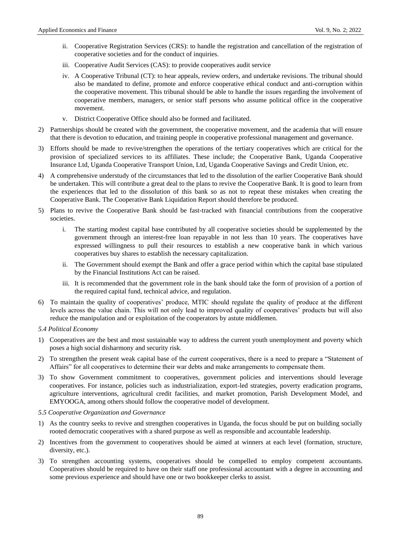- ii. Cooperative Registration Services (CRS): to handle the registration and cancellation of the registration of cooperative societies and for the conduct of inquiries.
- iii. Cooperative Audit Services (CAS): to provide cooperatives audit service
- iv. A Cooperative Tribunal (CT): to hear appeals, review orders, and undertake revisions. The tribunal should also be mandated to define, promote and enforce cooperative ethical conduct and anti-corruption within the cooperative movement. This tribunal should be able to handle the issues regarding the involvement of cooperative members, managers, or senior staff persons who assume political office in the cooperative movement.
- v. District Cooperative Office should also be formed and facilitated.
- 2) Partnerships should be created with the government, the cooperative movement, and the academia that will ensure that there is devotion to education, and training people in cooperative professional management and governance.
- 3) Efforts should be made to revive/strengthen the operations of the tertiary cooperatives which are critical for the provision of specialized services to its affiliates. These include; the Cooperative Bank, Uganda Cooperative Insurance Ltd, Uganda Cooperative Transport Union, Ltd, Uganda Cooperative Savings and Credit Union, etc.
- 4) A comprehensive understudy of the circumstances that led to the dissolution of the earlier Cooperative Bank should be undertaken. This will contribute a great deal to the plans to revive the Cooperative Bank. It is good to learn from the experiences that led to the dissolution of this bank so as not to repeat these mistakes when creating the Cooperative Bank. The Cooperative Bank Liquidation Report should therefore be produced.
- 5) Plans to revive the Cooperative Bank should be fast-tracked with financial contributions from the cooperative societies.
	- i. The starting modest capital base contributed by all cooperative societies should be supplemented by the government through an interest-free loan repayable in not less than 10 years. The cooperatives have expressed willingness to pull their resources to establish a new cooperative bank in which various cooperatives buy shares to establish the necessary capitalization.
	- ii. The Government should exempt the Bank and offer a grace period within which the capital base stipulated by the Financial Institutions Act can be raised.
	- iii. It is recommended that the government role in the bank should take the form of provision of a portion of the required capital fund, technical advice, and regulation.
- 6) To maintain the quality of cooperatives" produce, MTIC should regulate the quality of produce at the different levels across the value chain. This will not only lead to improved quality of cooperatives' products but will also reduce the manipulation and or exploitation of the cooperators by astute middlemen.
- *5.4 Political Economy*
- 1) Cooperatives are the best and most sustainable way to address the current youth unemployment and poverty which poses a high social disharmony and security risk.
- 2) To strengthen the present weak capital base of the current cooperatives, there is a need to prepare a "Statement of Affairs" for all cooperatives to determine their war debts and make arrangements to compensate them.
- 3) To show Government commitment to cooperatives, government policies and interventions should leverage cooperatives. For instance, policies such as industrialization, export-led strategies, poverty eradication programs, agriculture interventions, agricultural credit facilities, and market promotion, Parish Development Model, and EMYOOGA, among others should follow the cooperative model of development.
- *5.5 Cooperative Organization and Governance*
- 1) As the country seeks to revive and strengthen cooperatives in Uganda, the focus should be put on building socially rooted democratic cooperatives with a shared purpose as well as responsible and accountable leadership.
- 2) Incentives from the government to cooperatives should be aimed at winners at each level (formation, structure, diversity, etc.).
- 3) To strengthen accounting systems, cooperatives should be compelled to employ competent accountants. Cooperatives should be required to have on their staff one professional accountant with a degree in accounting and some previous experience and should have one or two bookkeeper clerks to assist.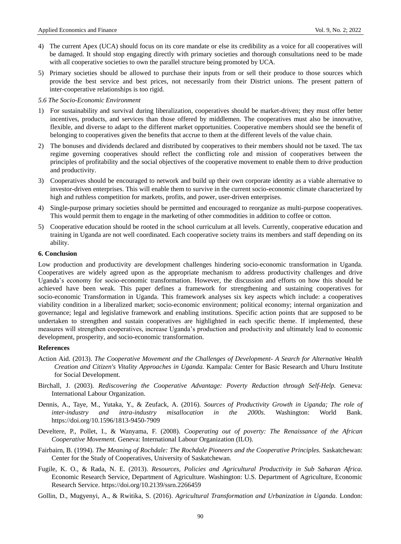- 4) The current Apex (UCA) should focus on its core mandate or else its credibility as a voice for all cooperatives will be damaged. It should stop engaging directly with primary societies and thorough consultations need to be made with all cooperative societies to own the parallel structure being promoted by UCA.
- 5) Primary societies should be allowed to purchase their inputs from or sell their produce to those sources which provide the best service and best prices, not necessarily from their District unions. The present pattern of inter-cooperative relationships is too rigid.

#### *5.6 The Socio-Economic Environment*

- 1) For sustainability and survival during liberalization, cooperatives should be market-driven; they must offer better incentives, products, and services than those offered by middlemen. The cooperatives must also be innovative, flexible, and diverse to adapt to the different market opportunities. Cooperative members should see the benefit of belonging to cooperatives given the benefits that accrue to them at the different levels of the value chain.
- 2) The bonuses and dividends declared and distributed by cooperatives to their members should not be taxed. The tax regime governing cooperatives should reflect the conflicting role and mission of cooperatives between the principles of profitability and the social objectives of the cooperative movement to enable them to drive production and productivity.
- 3) Cooperatives should be encouraged to network and build up their own corporate identity as a viable alternative to investor-driven enterprises. This will enable them to survive in the current socio-economic climate characterized by high and ruthless competition for markets, profits, and power, user-driven enterprises.
- 4) Single-purpose primary societies should be permitted and encouraged to reorganize as multi-purpose cooperatives. This would permit them to engage in the marketing of other commodities in addition to coffee or cotton.
- 5) Cooperative education should be rooted in the school curriculum at all levels. Currently, cooperative education and training in Uganda are not well coordinated. Each cooperative society trains its members and staff depending on its ability.

## **6. Conclusion**

Low production and productivity are development challenges hindering socio-economic transformation in Uganda. Cooperatives are widely agreed upon as the appropriate mechanism to address productivity challenges and drive Uganda"s economy for socio-economic transformation. However, the discussion and efforts on how this should be achieved have been weak. This paper defines a framework for strengthening and sustaining cooperatives for socio-economic Transformation in Uganda. This framework analyses six key aspects which include: a cooperatives viability condition in a liberalized market; socio-economic environment; political economy; internal organization and governance; legal and legislative framework and enabling institutions. Specific action points that are supposed to be undertaken to strengthen and sustain cooperatives are highlighted in each specific theme. If implemented, these measures will strengthen cooperatives, increase Uganda"s production and productivity and ultimately lead to economic development, prosperity, and socio-economic transformation.

#### **References**

- Action Aid. (2013). *The Cooperative Movement and the Challenges of Development- A Search for Alternative Wealth Creation and Citizen's Vitality Approaches in Uganda.* Kampala: Center for Basic Research and Uhuru Institute for Social Development.
- Birchall, J. (2003). *Rediscovering the Cooperative Advantage: Poverty Reduction through Self-Help.* Geneva: International Labour Organization.
- Dennis, A., Taye, M., Yutaka, Y., & Zeufack, A. (2016). *Sources of Productivity Growth in Uganda; The role of inter-industry and intra-industry misallocation in the 2000s.* Washington: World Bank. https://doi.org/10.1596/1813-9450-7909
- Develtere, P., Pollet, I., & Wanyama, F. (2008). *Cooperating out of poverty: The Renaissance of the African Cooperative Movement.* Geneva: International Labour Organization (ILO).
- Fairbairn, B. (1994). *The Meaning of Rochdale: The Rochdale Pioneers and the Cooperative Principles.* Saskatchewan: Center for the Study of Cooperatives, University of Saskatchewan.
- Fugile, K. O., & Rada, N. E. (2013). *Resources, Policies and Agricultural Productivity in Sub Saharan Africa.*  Economic Research Service, Department of Agriculture. Washington: U.S. Department of Agriculture, Economic Research Service. https://doi.org/10.2139/ssrn.2266459
- Gollin, D., Mugyenyi, A., & Rwitika, S. (2016). *Agricultural Transformation and Urbanization in Uganda.* London: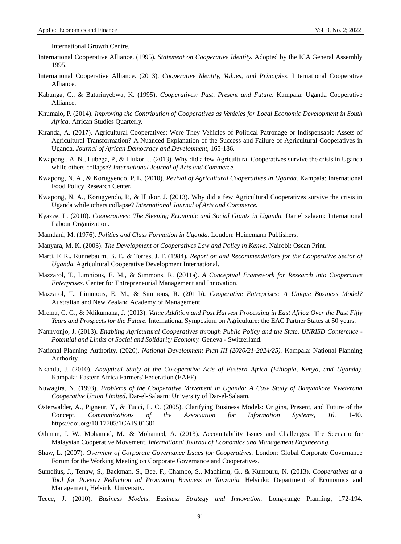International Growth Centre.

- International Cooperative Alliance. (1995). *Statement on Cooperative Identity.* Adopted by the ICA General Assembly 1995.
- International Cooperative Alliance. (2013). *Cooperative Identity, Values, and Principles.* International Cooperative Alliance.
- Kabunga, C., & Batarinyebwa, K. (1995). *Cooperatives: Past, Present and Future.* Kampala: Uganda Cooperative Alliance.
- Khumalo, P. (2014). *Improving the Contribution of Cooperatives as Vehicles for Local Economic Development in South Africa.* African Studies Quarterly.
- Kiranda, A. (2017). Agricultural Cooperatives: Were They Vehicles of Political Patronage or Indispensable Assets of Agricultural Transformation? A Nuanced Explanation of the Success and Failure of Agricultural Cooperatives in Uganda. *Journal of African Democracy and Development,* 165-186.
- Kwapong , A. N., Lubega, P., & Illukor, J. (2013). Why did a few Agricultural Cooperatives survive the crisis in Uganda while others collapse? *International Journal of Arts and Commerce.*
- Kwapong, N. A., & Korugyendo, P. L. (2010). *Revival of Agricultural Cooperatives in Uganda.* Kampala: International Food Policy Research Center.
- Kwapong, N. A., Korugyendo, P., & Illukor, J. (2013). Why did a few Agricultural Cooperatives survive the crisis in Uganda while others collapse? *International Journal of Arts and Commerce.*
- Kyazze, L. (2010). *Cooperatives: The Sleeping Economic and Social Giants in Uganda.* Dar el salaam: International Labour Organization.
- Mamdani, M. (1976). *Politics and Class Formation in Uganda.* London: Heinemann Publishers.
- Manyara, M. K. (2003). *The Development of Cooperatives Law and Policy in Kenya.* Nairobi: Oscan Print.
- Marti, F. R., Runnebaum, B. F., & Torres, J. F. (1984). *Report on and Recommendations for the Cooperative Sector of Uganda.* Agricultural Cooperative Development International.
- Mazzarol, T., Limnious, E. M., & Simmons, R. (2011a). *A Conceptual Framework for Research into Cooperative Enterprises.* Center for Entrepreneurial Management and Innovation.
- Mazzarol, T., Limnious, E. M., & Simmons, R. (2011b). *Cooperative Entreprises: A Unique Business Model?*  Australian and New Zealand Academy of Management.
- Mrema, C. G., & Ndikumana, J. (2013). *Value Addition and Post Harvest Processing in East Africa Over the Past Fifty Years and Prospects for the Future.* International Symposium on Agriculture: the EAC Partner States at 50 years.
- Nannyonjo, J. (2013). *Enabling Agricultural Cooperatives through Public Policy and the State. UNRISD Conference - Potential and Limits of Social and Solidarity Economy.* Geneva - Switzerland.
- National Planning Authority. (2020). *National Development Plan III (2020/21-2024/25).* Kampala: National Planning Authority.
- Nkandu, J. (2010). *Analytical Study of the Co-operative Acts of Eastern Africa (Ethiopia, Kenya, and Uganda).*  Kampala: Eastern Africa Farmers' Federation (EAFF).
- Nuwagira, N. (1993). *Problems of the Cooperative Movement in Uganda: A Case Study of Banyankore Kweterana Cooperative Union Limited.* Dar-el-Salaam: University of Dar-el-Salaam.
- Osterwalder, A., Pigneur, Y., & Tucci, L. C. (2005). Clarifying Business Models: Origins, Present, and Future of the Concept. *Communications of the Association for Information Systems, 16,* 1-40. https://doi.org/10.17705/1CAIS.01601
- Othman, I. W., Mohamad, M., & Mohamed, A. (2013). Accountability Issues and Challenges: The Scenario for Malaysian Cooperative Movement. *International Journal of Economics and Management Engineering.*
- Shaw, L. (2007). *Overview of Corporate Governance Issues for Cooperatives.* London: Global Corporate Governance Forum for the Working Meeting on Corporate Governance and Cooperatives.
- Sumelius, J., Tenaw, S., Backman, S., Bee, F., Chambo, S., Machimu, G., & Kumburu, N. (2013). *Cooperatives as a Tool for Poverty Reduction ad Promoting Business in Tanzania.* Helsinki: Department of Economics and Management, Helsinki University.
- Teece, J. (2010). *Business Models, Business Strategy and Innovation.* Long-range Planning, 172-194.